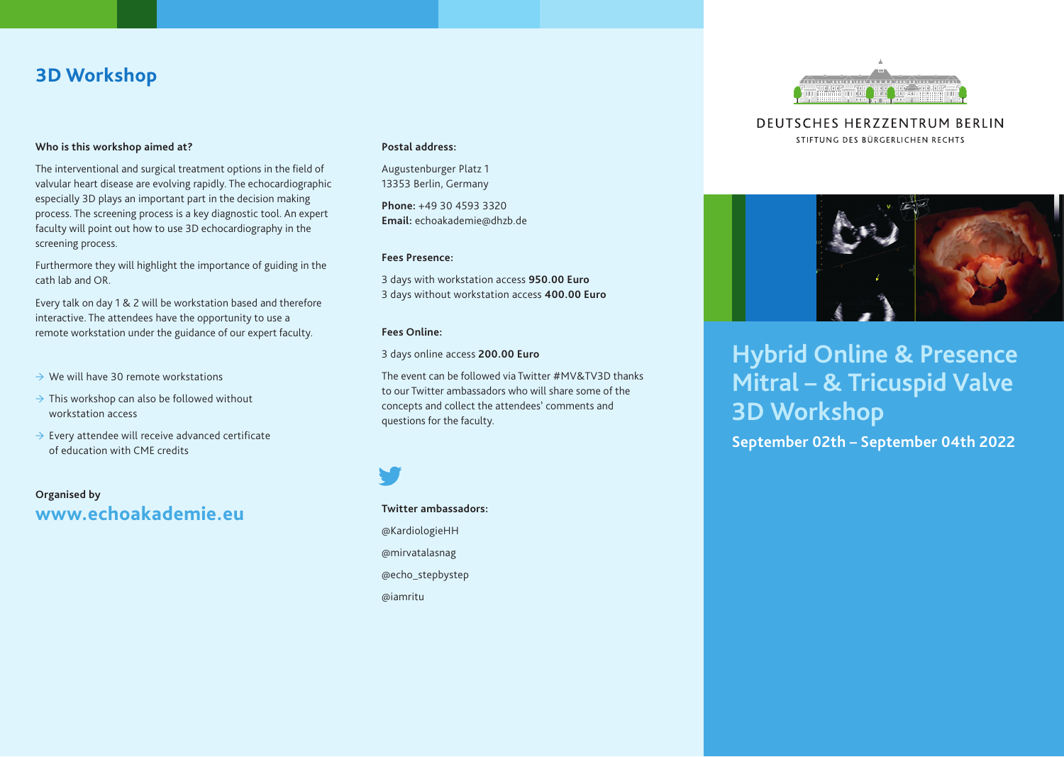# **3D Workshop**

### **Who is this workshop aimed at?**

The interventional and surgical treatment options in the field of valvular heart disease are evolving rapidly. The echocardiographic especially 3D plays an important part in the decision making process. The screening process is a key diagnostic tool. An expert faculty will point out how to use 3D echocardiography in the screening process.

Furthermore they will highlight the importance of guiding in the cath lab and OR.

Every talk on day 1 & 2 will be workstation based and therefore interactive. The attendees have the opportunity to use a remote workstation under the guidance of our expert faculty.

- $\rightarrow$  We will have 30 remote workstations
- $\rightarrow$  This workshop can also be followed without workstation access
- $\rightarrow$  Every attendee will receive advanced certificate of education with CME credits

**Organised by www.echoakademie.eu**

### **Postal address:**

Augustenburger Platz 1 13353 Berlin, Germany

**Phone:** +49 30 4593 3320 **Email:** echoakademie@dhzb.de

### **Fees Presence:**

3 days with workstation access **950.00 Euro** 3 days without workstation access **400.00 Euro**

### **Fees Online:**

3 days online access **200.00 Euro**

The event can be followed via Twitter #MV&TV3D thanks to our Twitter ambassadors who will share some of the concepts and collect the attendees' comments and questions for the faculty.

## **Twitter ambassadors:** @KardiologieHH @mirvatalasnag

@echo\_stepbystep

@iamritu



**DEUTSCHES HERZZENTRUM BERLIN** STIFTUNG DES BÜRGERLICHEN RECHTS



# **Hybrid Online & Presence Mitral – & Tricuspid Valve 3D Workshop**

**September 02th – September 04th 2022**